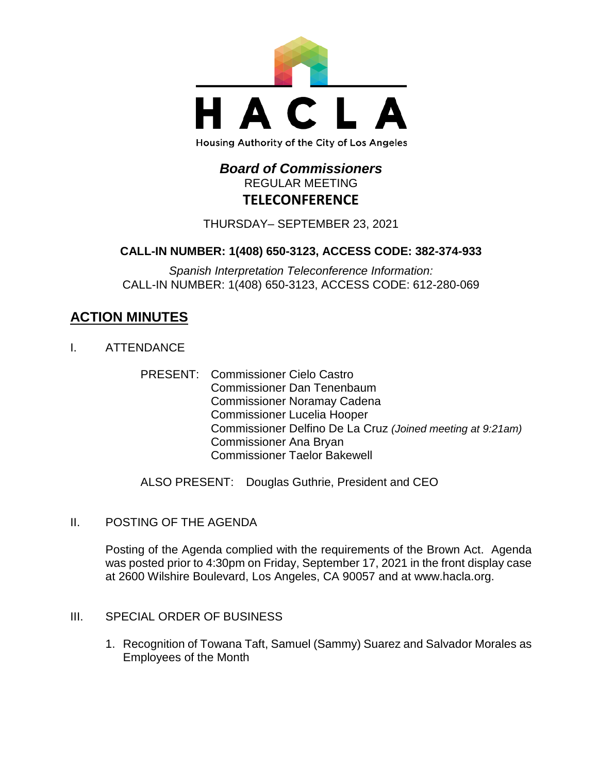

# *Board of Commissioners* REGULAR MEETING **TELECONFERENCE**

THURSDAY– SEPTEMBER 23, 2021

# **CALL-IN NUMBER: 1(408) 650-3123, ACCESS CODE: 382-374-933**

*Spanish Interpretation Teleconference Information:* CALL-IN NUMBER: 1(408) 650-3123, ACCESS CODE: 612-280-069

# **ACTION MINUTES**

- I. ATTENDANCE
	- PRESENT: Commissioner Cielo Castro Commissioner Dan Tenenbaum Commissioner Noramay Cadena Commissioner Lucelia Hooper Commissioner Delfino De La Cruz *(Joined meeting at 9:21am)* Commissioner Ana Bryan Commissioner Taelor Bakewell

ALSO PRESENT: Douglas Guthrie, President and CEO

II. POSTING OF THE AGENDA

Posting of the Agenda complied with the requirements of the Brown Act. Agenda was posted prior to 4:30pm on Friday, September 17, 2021 in the front display case at 2600 Wilshire Boulevard, Los Angeles, CA 90057 and at [www.hacla.org.](http://www.hacla.org/)

- III. SPECIAL ORDER OF BUSINESS
	- 1. Recognition of Towana Taft, Samuel (Sammy) Suarez and Salvador Morales as Employees of the Month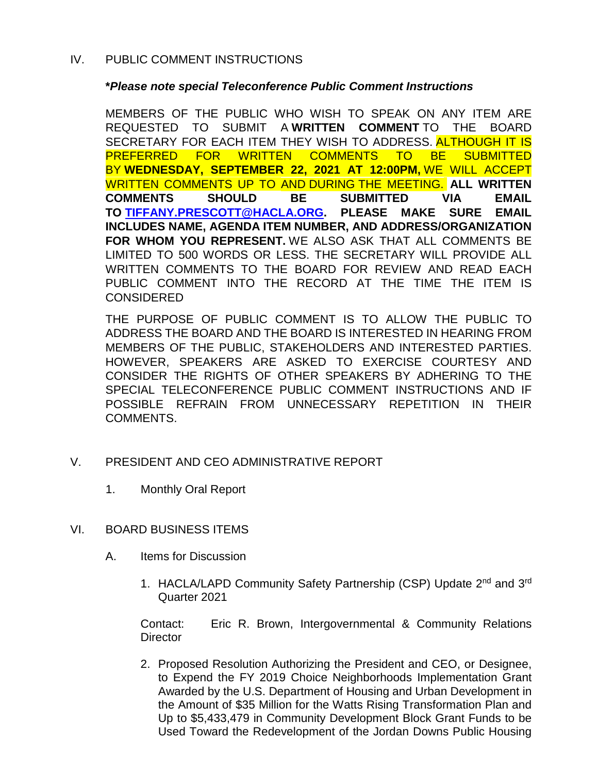## IV. PUBLIC COMMENT INSTRUCTIONS

## **\****Please note special Teleconference Public Comment Instructions*

MEMBERS OF THE PUBLIC WHO WISH TO SPEAK ON ANY ITEM ARE REQUESTED TO SUBMIT A **WRITTEN COMMENT** TO THE BOARD SECRETARY FOR EACH ITEM THEY WISH TO ADDRESS. ALTHOUGH IT IS PREFERRED FOR WRITTEN COMMENTS TO BE SUBMITTED BY **WEDNESDAY, SEPTEMBER 22, 2021 AT 12:00PM,** WE WILL ACCEPT WRITTEN COMMENTS UP TO AND DURING THE MEETING. **ALL WRITTEN COMMENTS SHOULD BE SUBMITTED VIA EMAIL TO [TIFFANY.PRESCOTT@HACLA.ORG.](mailto:TIFFANY.PRESCOTT@HACLA.ORG) PLEASE MAKE SURE EMAIL INCLUDES NAME, AGENDA ITEM NUMBER, AND ADDRESS/ORGANIZATION FOR WHOM YOU REPRESENT.** WE ALSO ASK THAT ALL COMMENTS BE LIMITED TO 500 WORDS OR LESS. THE SECRETARY WILL PROVIDE ALL WRITTEN COMMENTS TO THE BOARD FOR REVIEW AND READ EACH PUBLIC COMMENT INTO THE RECORD AT THE TIME THE ITEM IS **CONSIDERED** 

THE PURPOSE OF PUBLIC COMMENT IS TO ALLOW THE PUBLIC TO ADDRESS THE BOARD AND THE BOARD IS INTERESTED IN HEARING FROM MEMBERS OF THE PUBLIC, STAKEHOLDERS AND INTERESTED PARTIES. HOWEVER, SPEAKERS ARE ASKED TO EXERCISE COURTESY AND CONSIDER THE RIGHTS OF OTHER SPEAKERS BY ADHERING TO THE SPECIAL TELECONFERENCE PUBLIC COMMENT INSTRUCTIONS AND IF POSSIBLE REFRAIN FROM UNNECESSARY REPETITION IN THEIR COMMENTS.

- V. PRESIDENT AND CEO ADMINISTRATIVE REPORT
	- 1. Monthly Oral Report
- VI. BOARD BUSINESS ITEMS
	- A. Items for Discussion
		- 1. HACLA/LAPD Community Safety Partnership (CSP) Update 2<sup>nd</sup> and 3<sup>rd</sup> Quarter 2021

Contact: Eric R. Brown, Intergovernmental & Community Relations **Director** 

2. Proposed Resolution Authorizing the President and CEO, or Designee, to Expend the FY 2019 Choice Neighborhoods Implementation Grant Awarded by the U.S. Department of Housing and Urban Development in the Amount of \$35 Million for the Watts Rising Transformation Plan and Up to \$5,433,479 in Community Development Block Grant Funds to be Used Toward the Redevelopment of the Jordan Downs Public Housing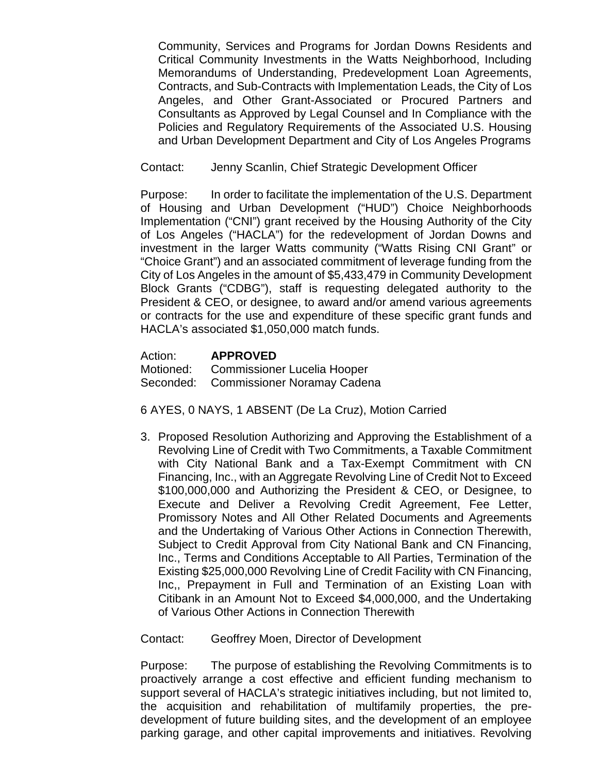Community, Services and Programs for Jordan Downs Residents and Critical Community Investments in the Watts Neighborhood, Including Memorandums of Understanding, Predevelopment Loan Agreements, Contracts, and Sub-Contracts with Implementation Leads, the City of Los Angeles, and Other Grant-Associated or Procured Partners and Consultants as Approved by Legal Counsel and In Compliance with the Policies and Regulatory Requirements of the Associated U.S. Housing and Urban Development Department and City of Los Angeles Programs

Contact: Jenny Scanlin, Chief Strategic Development Officer

Purpose: In order to facilitate the implementation of the U.S. Department of Housing and Urban Development ("HUD") Choice Neighborhoods Implementation ("CNI") grant received by the Housing Authority of the City of Los Angeles ("HACLA") for the redevelopment of Jordan Downs and investment in the larger Watts community ("Watts Rising CNI Grant" or "Choice Grant") and an associated commitment of leverage funding from the City of Los Angeles in the amount of \$5,433,479 in Community Development Block Grants ("CDBG"), staff is requesting delegated authority to the President & CEO, or designee, to award and/or amend various agreements or contracts for the use and expenditure of these specific grant funds and HACLA's associated \$1,050,000 match funds.

Action: **APPROVED** Motioned: Commissioner Lucelia Hooper Seconded: Commissioner Noramay Cadena

6 AYES, 0 NAYS, 1 ABSENT (De La Cruz), Motion Carried

3. Proposed Resolution Authorizing and Approving the Establishment of a Revolving Line of Credit with Two Commitments, a Taxable Commitment with City National Bank and a Tax-Exempt Commitment with CN Financing, Inc., with an Aggregate Revolving Line of Credit Not to Exceed \$100,000,000 and Authorizing the President & CEO, or Designee, to Execute and Deliver a Revolving Credit Agreement, Fee Letter, Promissory Notes and All Other Related Documents and Agreements and the Undertaking of Various Other Actions in Connection Therewith, Subject to Credit Approval from City National Bank and CN Financing, Inc., Terms and Conditions Acceptable to All Parties, Termination of the Existing \$25,000,000 Revolving Line of Credit Facility with CN Financing, Inc,, Prepayment in Full and Termination of an Existing Loan with Citibank in an Amount Not to Exceed \$4,000,000, and the Undertaking of Various Other Actions in Connection Therewith

Contact: Geoffrey Moen, Director of Development

Purpose: The purpose of establishing the Revolving Commitments is to proactively arrange a cost effective and efficient funding mechanism to support several of HACLA's strategic initiatives including, but not limited to, the acquisition and rehabilitation of multifamily properties, the predevelopment of future building sites, and the development of an employee parking garage, and other capital improvements and initiatives. Revolving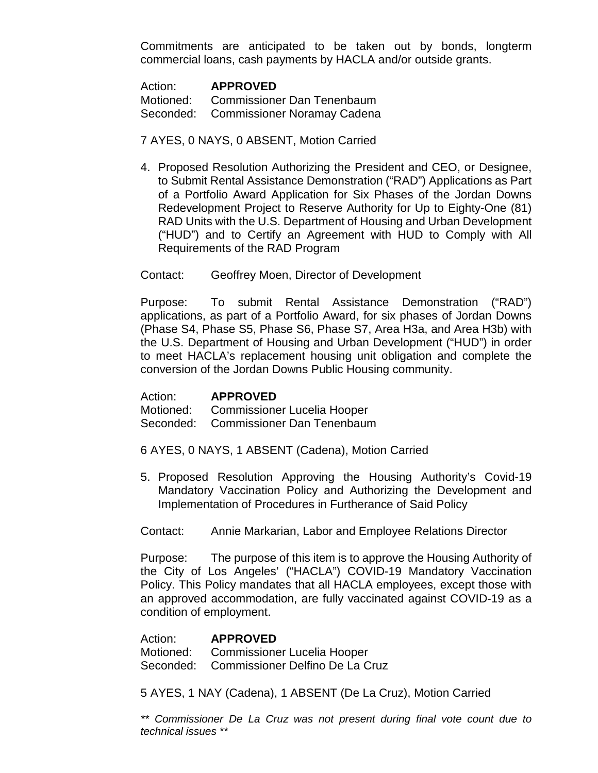Commitments are anticipated to be taken out by bonds, longterm commercial loans, cash payments by HACLA and/or outside grants.

| Action: | <b>APPROVED</b>                       |
|---------|---------------------------------------|
|         | Motioned: Commissioner Dan Tenenbaum  |
|         | Seconded: Commissioner Noramay Cadena |

#### 7 AYES, 0 NAYS, 0 ABSENT, Motion Carried

4. Proposed Resolution Authorizing the President and CEO, or Designee, to Submit Rental Assistance Demonstration ("RAD") Applications as Part of a Portfolio Award Application for Six Phases of the Jordan Downs Redevelopment Project to Reserve Authority for Up to Eighty-One (81) RAD Units with the U.S. Department of Housing and Urban Development ("HUD") and to Certify an Agreement with HUD to Comply with All Requirements of the RAD Program

Contact: Geoffrey Moen, Director of Development

Purpose: To submit Rental Assistance Demonstration ("RAD") applications, as part of a Portfolio Award, for six phases of Jordan Downs (Phase S4, Phase S5, Phase S6, Phase S7, Area H3a, and Area H3b) with the U.S. Department of Housing and Urban Development ("HUD") in order to meet HACLA's replacement housing unit obligation and complete the conversion of the Jordan Downs Public Housing community.

Action: **APPROVED**

Motioned: Commissioner Lucelia Hooper Seconded: Commissioner Dan Tenenbaum

- 6 AYES, 0 NAYS, 1 ABSENT (Cadena), Motion Carried
- 5. Proposed Resolution Approving the Housing Authority's Covid-19 Mandatory Vaccination Policy and Authorizing the Development and Implementation of Procedures in Furtherance of Said Policy

Contact: Annie Markarian, Labor and Employee Relations Director

Purpose: The purpose of this item is to approve the Housing Authority of the City of Los Angeles' ("HACLA") COVID-19 Mandatory Vaccination Policy. This Policy mandates that all HACLA employees, except those with an approved accommodation, are fully vaccinated against COVID-19 as a condition of employment.

Action: **APPROVED** Motioned: Commissioner Lucelia Hooper Seconded: Commissioner Delfino De La Cruz

5 AYES, 1 NAY (Cadena), 1 ABSENT (De La Cruz), Motion Carried

*\*\* Commissioner De La Cruz was not present during final vote count due to technical issues \*\**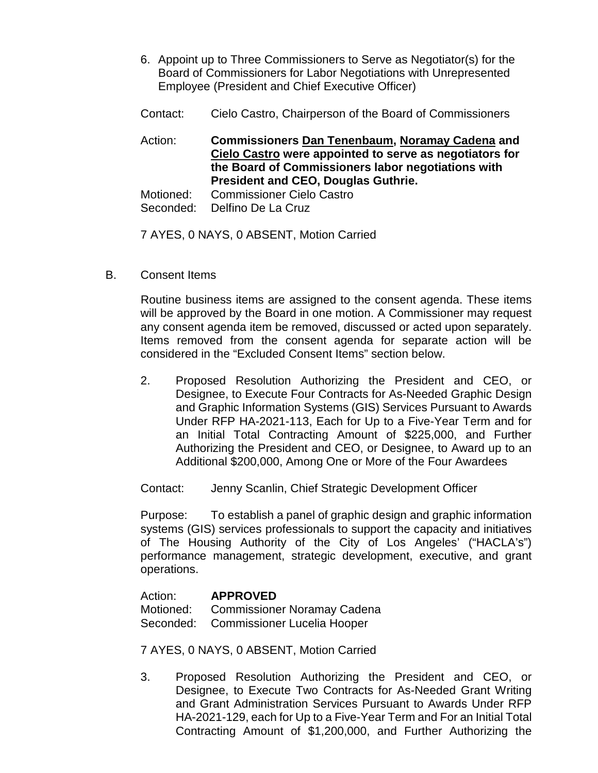- 6. Appoint up to Three Commissioners to Serve as Negotiator(s) for the Board of Commissioners for Labor Negotiations with Unrepresented Employee (President and Chief Executive Officer)
- Contact: Cielo Castro, Chairperson of the Board of Commissioners

Action: **Commissioners Dan Tenenbaum, Noramay Cadena and Cielo Castro were appointed to serve as negotiators for the Board of Commissioners labor negotiations with President and CEO, Douglas Guthrie.**

Motioned: Commissioner Cielo Castro

Seconded: Delfino De La Cruz

7 AYES, 0 NAYS, 0 ABSENT, Motion Carried

B. Consent Items

Routine business items are assigned to the consent agenda. These items will be approved by the Board in one motion. A Commissioner may request any consent agenda item be removed, discussed or acted upon separately. Items removed from the consent agenda for separate action will be considered in the "Excluded Consent Items" section below.

2. Proposed Resolution Authorizing the President and CEO, or Designee, to Execute Four Contracts for As-Needed Graphic Design and Graphic Information Systems (GIS) Services Pursuant to Awards Under RFP HA-2021-113, Each for Up to a Five-Year Term and for an Initial Total Contracting Amount of \$225,000, and Further Authorizing the President and CEO, or Designee, to Award up to an Additional \$200,000, Among One or More of the Four Awardees

Contact: Jenny Scanlin, Chief Strategic Development Officer

Purpose: To establish a panel of graphic design and graphic information systems (GIS) services professionals to support the capacity and initiatives of The Housing Authority of the City of Los Angeles' ("HACLA's") performance management, strategic development, executive, and grant operations.

Action: **APPROVED** Motioned: Commissioner Noramay Cadena Seconded: Commissioner Lucelia Hooper

7 AYES, 0 NAYS, 0 ABSENT, Motion Carried

3. Proposed Resolution Authorizing the President and CEO, or Designee, to Execute Two Contracts for As-Needed Grant Writing and Grant Administration Services Pursuant to Awards Under RFP HA-2021-129, each for Up to a Five-Year Term and For an Initial Total Contracting Amount of \$1,200,000, and Further Authorizing the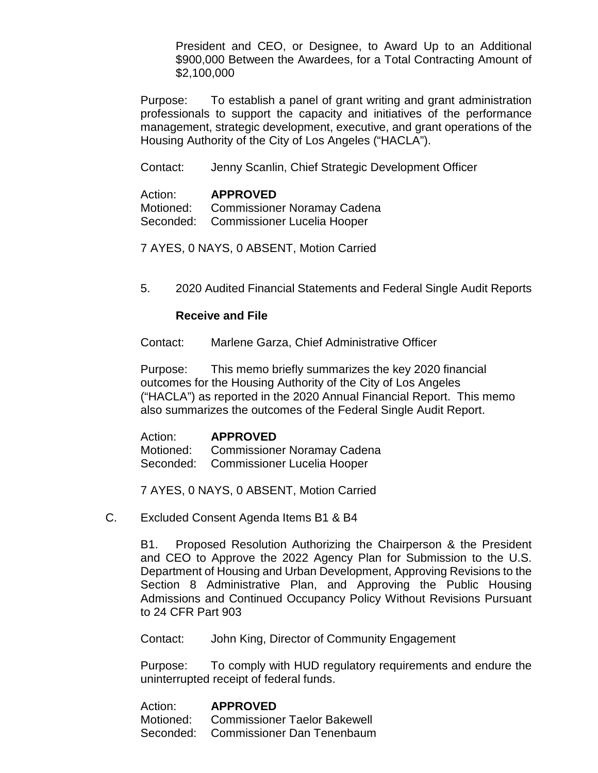President and CEO, or Designee, to Award Up to an Additional \$900,000 Between the Awardees, for a Total Contracting Amount of \$2,100,000

Purpose: To establish a panel of grant writing and grant administration professionals to support the capacity and initiatives of the performance management, strategic development, executive, and grant operations of the Housing Authority of the City of Los Angeles ("HACLA").

Contact: Jenny Scanlin, Chief Strategic Development Officer

Action: **APPROVED** Motioned: Commissioner Noramay Cadena Seconded: Commissioner Lucelia Hooper

7 AYES, 0 NAYS, 0 ABSENT, Motion Carried

5. 2020 Audited Financial Statements and Federal Single Audit Reports

### **Receive and File**

Contact: Marlene Garza, Chief Administrative Officer

Purpose: This memo briefly summarizes the key 2020 financial outcomes for the Housing Authority of the City of Los Angeles ("HACLA") as reported in the 2020 Annual Financial Report. This memo also summarizes the outcomes of the Federal Single Audit Report.

Action: **APPROVED** Motioned: Commissioner Noramay Cadena Seconded: Commissioner Lucelia Hooper

7 AYES, 0 NAYS, 0 ABSENT, Motion Carried

C. Excluded Consent Agenda Items B1 & B4

B1. Proposed Resolution Authorizing the Chairperson & the President and CEO to Approve the 2022 Agency Plan for Submission to the U.S. Department of Housing and Urban Development, Approving Revisions to the Section 8 Administrative Plan, and Approving the Public Housing Admissions and Continued Occupancy Policy Without Revisions Pursuant to 24 CFR Part 903

Contact: John King, Director of Community Engagement

Purpose: To comply with HUD regulatory requirements and endure the uninterrupted receipt of federal funds.

| Action: | <b>APPROVED</b>                        |
|---------|----------------------------------------|
|         | Motioned: Commissioner Taelor Bakewell |
|         | Seconded: Commissioner Dan Tenenbaum   |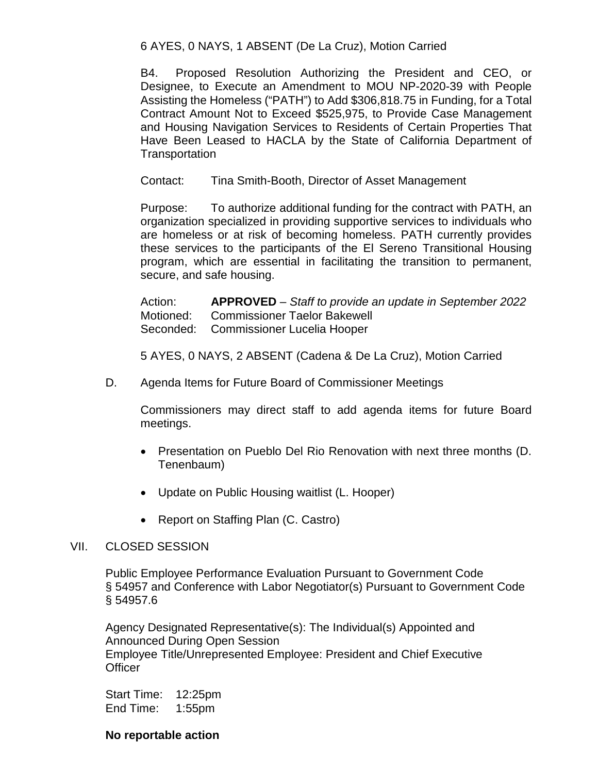6 AYES, 0 NAYS, 1 ABSENT (De La Cruz), Motion Carried

B4. Proposed Resolution Authorizing the President and CEO, or Designee, to Execute an Amendment to MOU NP-2020-39 with People Assisting the Homeless ("PATH") to Add \$306,818.75 in Funding, for a Total Contract Amount Not to Exceed \$525,975, to Provide Case Management and Housing Navigation Services to Residents of Certain Properties That Have Been Leased to HACLA by the State of California Department of **Transportation** 

Contact: Tina Smith-Booth, Director of Asset Management

Purpose: To authorize additional funding for the contract with PATH, an organization specialized in providing supportive services to individuals who are homeless or at risk of becoming homeless. PATH currently provides these services to the participants of the El Sereno Transitional Housing program, which are essential in facilitating the transition to permanent, secure, and safe housing.

Action: **APPROVED** – *Staff to provide an update in September 2022* Motioned: Commissioner Taelor Bakewell Seconded: Commissioner Lucelia Hooper

5 AYES, 0 NAYS, 2 ABSENT (Cadena & De La Cruz), Motion Carried

D. Agenda Items for Future Board of Commissioner Meetings

Commissioners may direct staff to add agenda items for future Board meetings.

- Presentation on Pueblo Del Rio Renovation with next three months (D. Tenenbaum)
- Update on Public Housing waitlist (L. Hooper)
- Report on Staffing Plan (C. Castro)

#### VII. CLOSED SESSION

Public Employee Performance Evaluation Pursuant to Government Code § 54957 and Conference with Labor Negotiator(s) Pursuant to Government Code § 54957.6

Agency Designated Representative(s): The Individual(s) Appointed and Announced During Open Session Employee Title/Unrepresented Employee: President and Chief Executive **Officer** 

Start Time: 12:25pm End Time: 1:55pm

#### **No reportable action**